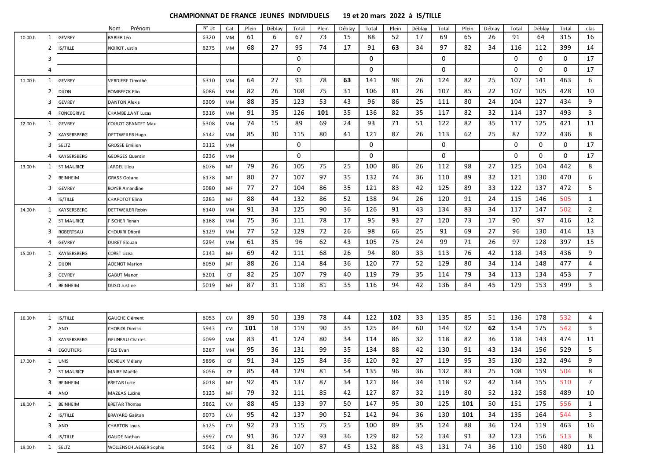|         |              |                   | Prénom<br>Nom             | N° Lic | Cat       | Plein | Déblay | Total | Plein | Déblay | Total    | Plein | Déblay | Total    | Plein | Déblay | Total | Déblay | Total | clas           |
|---------|--------------|-------------------|---------------------------|--------|-----------|-------|--------|-------|-------|--------|----------|-------|--------|----------|-------|--------|-------|--------|-------|----------------|
| 10.00 h | $\mathbf{1}$ | <b>GEVREY</b>     | RABIER Léo                | 6320   | MM        | 61    | 6      | 67    | 73    | 15     | 88       | 52    | 17     | 69       | 65    | 26     | 91    | 64     | 315   | 16             |
|         | 2            | IS/TILLE          | <b>NOIROT Justin</b>      | 6275   | MM        | 68    | 27     | 95    | 74    | 17     | 91       | 63    | 34     | 97       | 82    | 34     | 116   | 112    | 399   | 14             |
|         | 3            |                   |                           |        |           |       |        | 0     |       |        | 0        |       |        | 0        |       |        | 0     | 0      | 0     | 17             |
|         | 4            |                   |                           |        |           |       |        | 0     |       |        | $\Omega$ |       |        | 0        |       |        | 0     | 0      | 0     | 17             |
| 11.00 h | $\mathbf{1}$ | <b>GEVREY</b>     | <b>VERDIERE Timothé</b>   | 6310   | MM        | 64    | 27     | 91    | 78    | 63     | 141      | 98    | 26     | 124      | 82    | 25     | 107   | 141    | 463   | 6              |
|         | 2            | <b>DIJON</b>      | <b>BOMBEECK Elio</b>      | 6086   | MM        | 82    | 26     | 108   | 75    | 31     | 106      | 81    | 26     | 107      | 85    | 22     | 107   | 105    | 428   | 10             |
|         | 3            | <b>GEVREY</b>     | <b>DANTON Alexis</b>      | 6309   | MM        | 88    | 35     | 123   | 53    | 43     | 96       | 86    | 25     | 111      | 80    | 24     | 104   | 127    | 434   | 9              |
|         |              | 4 FONCEGRIVE      | <b>CHAMBELLANT Lucas</b>  | 6316   | MM        | 91    | 35     | 126   | 101   | 35     | 136      | 82    | 35     | 117      | 82    | 32     | 114   | 137    | 493   | 3              |
| 12.00 h | $\mathbf{1}$ | <b>GEVREY</b>     | <b>COULOT GEANTET Max</b> | 6308   | MM        | 74    | 15     | 89    | 69    | 24     | 93       | 71    | 51     | 122      | 82    | 35     | 117   | 125    | 421   | 11             |
|         | 2            | KAYSERSBERG       | DETTWEILER Hugo           | 6142   | MM        | 85    | 30     | 115   | 80    | 41     | 121      | 87    | 26     | 113      | 62    | 25     | 87    | 122    | 436   | 8              |
|         | 3            | SELTZ             | <b>GROSSE Emilien</b>     | 6112   | MM        |       |        | 0     |       |        | 0        |       |        | $\Omega$ |       |        | 0     | 0      | 0     | 17             |
|         | 4            | KAYSERSBERG       | <b>GEORGES Quentin</b>    | 6236   | MM        |       |        | 0     |       |        | 0        |       |        | 0        |       |        | 0     | 0      | 0     | 17             |
| 13.00 h |              | 1 ST MAURICE      | ARDEL Lilou               | 6076   | MF        | 79    | 26     | 105   | 75    | 25     | 100      | 86    | 26     | 112      | 98    | 27     | 125   | 104    | 442   | 8              |
|         | 2            | BEINHEIM          | <b>GRASS Océane</b>       | 6178   | MF        | 80    | 27     | 107   | 97    | 35     | 132      | 74    | 36     | 110      | 89    | 32     | 121   | 130    | 470   | 6              |
|         | 3            | <b>GEVREY</b>     | <b>BOYER Amandine</b>     | 6080   | MF        | 77    | 27     | 104   | 86    | 35     | 121      | 83    | 42     | 125      | 89    | 33     | 122   | 137    | 472   | 5              |
|         | 4            | IS/TILLE          | CHAPOTOT Elina            | 6283   | MF        | 88    | 44     | 132   | 86    | 52     | 138      | 94    | 26     | 120      | 91    | 24     | 115   | 146    | 505   | $\mathbf{1}$   |
| 14.00 h |              | 1 KAYSERSBERG     | <b>DETTWEILER Robin</b>   | 6140   | MM        | 91    | 34     | 125   | 90    | 36     | 126      | 91    | 43     | 134      | 83    | 34     | 117   | 147    | 502   | $\overline{2}$ |
|         | 2            | <b>ST MAURICE</b> | <b>FISCHER Renan</b>      | 6168   | MM        | 75    | 36     | 111   | 78    | 17     | 95       | 93    | 27     | 120      | 73    | 17     | 90    | 97     | 416   | 12             |
|         | 3            | ROBERTSAU         | <b>CHOUKRI Dfibril</b>    | 6129   | MM        | 77    | 52     | 129   | 72    | 26     | 98       | 66    | 25     | 91       | 69    | 27     | 96    | 130    | 414   | 13             |
|         | 4            | <b>GEVREY</b>     | <b>DURET Elouan</b>       | 6294   | MM        | 61    | 35     | 96    | 62    | 43     | 105      | 75    | 24     | 99       | 71    | 26     | 97    | 128    | 397   | 15             |
| 15.00 h |              | 1 KAYSERSBERG     | <b>CORET Lizea</b>        | 6143   | MF        | 69    | 42     | 111   | 68    | 26     | 94       | 80    | 33     | 113      | 76    | 42     | 118   | 143    | 436   | 9              |
|         | 2            | DIJON             | <b>ADENOT Marion</b>      | 6050   | MF        | 88    | 26     | 114   | 84    | 36     | 120      | 77    | 52     | 129      | 80    | 34     | 114   | 148    | 477   | 4              |
|         | 3            | <b>GEVREY</b>     | <b>GABUT Manon</b>        | 6201   | CF        | 82    | 25     | 107   | 79    | 40     | 119      | 79    | 35     | 114      | 79    | 34     | 113   | 134    | 453   | $\overline{7}$ |
|         |              | 4 BEINHEIM        | DUSO Justine              | 6019   | MF        | 87    | 31     | 118   | 81    | 35     | 116      | 94    | 42     | 136      | 84    | 45     | 129   | 153    | 499   | 3              |
|         |              |                   |                           |        |           |       |        |       |       |        |          |       |        |          |       |        |       |        |       |                |
| 16.00 h | $\mathbf{1}$ | <b>IS/TILLE</b>   | <b>GAUCHE Clément</b>     | 6053   | <b>CM</b> | 89    | 50     | 139   | 78    | 44     | 122      | 102   | 33     | 135      | 85    | 51     | 136   | 178    | 532   | 4              |
|         | 2            | ANO               | <b>CHORIOL Dimitri</b>    | 5943   | CM        | 101   | 18     | 119   | 90    | 35     | 125      | 84    | 60     | 144      | 92    | 62     | 154   | 175    | 542   | 3              |
|         | 3            | KAYSERSBERG       | <b>GELINEAU Charles</b>   | 6099   | MM        | 83    | 41     | 124   | 80    | 34     | 114      | 86    | 32     | 118      | 82    | 36     | 118   | 143    | 474   | 11             |
|         |              | 4 EGOUTIERS       | <b>FELS Evan</b>          | 6267   | MM        | 95    | 36     | 131   | 99    | 35     | 134      | 88    | 42     | 130      | 91    | 43     | 134   | 156    | 529   | 5              |
| 17.00 h |              | 1 UNIS            | <b>DENEUX Mélany</b>      | 5896   | CF        | 91    | 34     | 125   | 84    | 36     | 120      | 92    | 27     | 119      | 95    | 35     | 130   | 132    | 494   | 9              |
|         |              | 2 ST MAURICE      | <b>MAIRE Maëlle</b>       | 6056   | CF        | 85    | 44     | 129   | 81    | 54     | 135      | 96    | 36     | 132      | 83    | 25     | 108   | 159    | 504   | 8              |
|         |              | 3 BEINHEIM        | <b>BRETAR Lucie</b>       | 6018   | MF        | 92    | 45     | 137   | 87    | 34     | 121      | 84    | 34     | 118      | 92    | 42     | 134   | 155    | 510   | 7              |
|         |              | 4 ANO             | MAZEAS Lucine             | 6123   | MF        | 79    | 32     | 111   | 85    | 42     | 127      | 87    | 32     | 119      | 80    | 52     | 132   | 158    | 489   | 10             |
| 18.00 h |              | 1 BEINHEIM        | <b>BRETAR Thomas</b>      | 5862   | <b>CM</b> | 88    | 45     | 133   | 97    | 50     | 147      | 95    | 30     | 125      | 101   | 50     | 151   | 175    | 556   | 1              |
|         |              | 2 IS/TILLE        | <b>BRAYARD Gaëtan</b>     | 6073   | <b>CM</b> | 95    | 42     | 137   | 90    | 52     | 142      | 94    | 36     | 130      | 101   | 34     | 135   | 164    | 544   | 3              |
|         |              | 3 ANO             | <b>CHARTON Louis</b>      | 6125   | CM        | 92    | 23     | 115   | 75    | 25     | 100      | 89    | 35     | 124      | 88    | 36     | 124   | 119    | 463   | 16             |
|         |              | 4 IS/TILLE        | <b>GAUDE Nathan</b>       | 5997   | <b>CM</b> | 91    | 36     | 127   | 93    | 36     | 129      | 82    | 52     | 134      | 91    | 32     | 123   | 156    | 513   | 8              |
| 19.00 h |              | 1 SELTZ           | WOLLENSCHLAEGER Sophie    | 5642   | CF        | 81    | 26     | 107   | 87    | 45     | 132      | 88    | 43     | 131      | 74    | 36     | 110   | 150    | 480   | 11             |

## **CHAMPIONNAT DE FRANCE JEUNES INDIVIDUELS 19 et 20 mars 2022 à IS/TILLE**